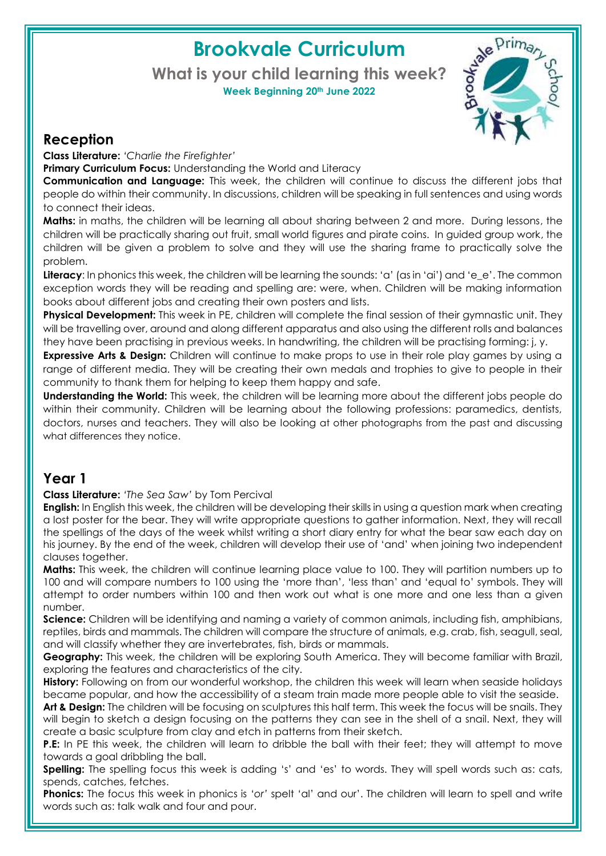# **Brookvale Curriculum**

#### **What is your child learning this week? Week Beginning 20th June 2022**



### **Reception**

**Class Literature:** *'Charlie the Firefighter'*

**Primary Curriculum Focus:** Understanding the World and Literacy

**Communication and Language:** This week, the children will continue to discuss the different jobs that people do within their community. In discussions, children will be speaking in full sentences and using words to connect their ideas.

**Maths:** in maths, the children will be learning all about sharing between 2 and more. During lessons, the children will be practically sharing out fruit, small world figures and pirate coins. In guided group work, the children will be given a problem to solve and they will use the sharing frame to practically solve the problem.

Literacy: In phonics this week, the children will be learning the sounds: 'a' (as in 'ai') and 'e\_e'. The common exception words they will be reading and spelling are: were, when. Children will be making information books about different jobs and creating their own posters and lists.

**Physical Development:** This week in PE, children will complete the final session of their gymnastic unit. They will be travelling over, around and along different apparatus and also using the different rolls and balances they have been practising in previous weeks. In handwriting, the children will be practising forming: j, y.

**Expressive Arts & Design:** Children will continue to make props to use in their role play games by using a range of different media. They will be creating their own medals and trophies to give to people in their community to thank them for helping to keep them happy and safe.

**Understanding the World:** This week, the children will be learning more about the different jobs people do within their community. Children will be learning about the following professions: paramedics, dentists, doctors, nurses and teachers. They will also be looking at other photographs from the past and discussing what differences they notice.

### **Year 1**

**Class Literature:** *'The Sea Saw'* by Tom Percival

**English:** In English this week, the children will be developing their skills in using a question mark when creating a lost poster for the bear. They will write appropriate questions to gather information. Next, they will recall the spellings of the days of the week whilst writing a short diary entry for what the bear saw each day on his journey. By the end of the week, children will develop their use of 'and' when joining two independent clauses together.

**Maths:** This week, the children will continue learning place value to 100. They will partition numbers up to 100 and will compare numbers to 100 using the 'more than', 'less than' and 'equal to' symbols. They will attempt to order numbers within 100 and then work out what is one more and one less than a given number.

**Science:** Children will be identifying and naming a variety of common animals, including fish, amphibians, reptiles, birds and mammals. The children will compare the structure of animals, e.g. crab, fish, seagull, seal, and will classify whether they are invertebrates, fish, birds or mammals.

**Geography:** This week, the children will be exploring South America. They will become familiar with Brazil, exploring the features and characteristics of the city.

**History:** Following on from our wonderful workshop, the children this week will learn when seaside holidays became popular, and how the accessibility of a steam train made more people able to visit the seaside.

**Art & Design:** The children will be focusing on sculptures this half term. This week the focus will be snails. They will begin to sketch a design focusing on the patterns they can see in the shell of a snail. Next, they will create a basic sculpture from clay and etch in patterns from their sketch.

**P.E:** In PE this week, the children will learn to dribble the ball with their feet; they will attempt to move towards a goal dribbling the ball.

**Spelling:** The spelling focus this week is adding 's' and 'es' to words. They will spell words such as: cats, spends, catches, fetches.

**Phonics:** The focus this week in phonics is '*or'* spelt 'al' and our'. The children will learn to spell and write words such as: talk walk and four and pour.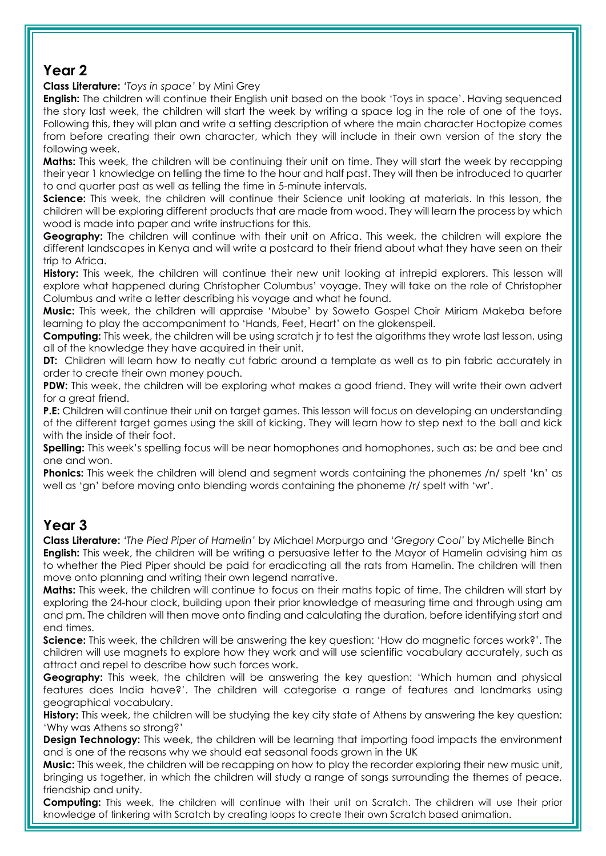### **Year 2**

**Class Literature:** *'Toys in space'* by Mini Grey

**English:** The children will continue their English unit based on the book 'Toys in space'. Having sequenced the story last week, the children will start the week by writing a space log in the role of one of the toys. Following this, they will plan and write a setting description of where the main character Hoctopize comes from before creating their own character, which they will include in their own version of the story the following week.

**Maths:** This week, the children will be continuing their unit on time. They will start the week by recapping their year 1 knowledge on telling the time to the hour and half past. They will then be introduced to quarter to and quarter past as well as telling the time in 5-minute intervals.

**Science:** This week, the children will continue their Science unit looking at materials. In this lesson, the children will be exploring different products that are made from wood. They will learn the process by which wood is made into paper and write instructions for this.

**Geography:** The children will continue with their unit on Africa. This week, the children will explore the different landscapes in Kenya and will write a postcard to their friend about what they have seen on their trip to Africa.

**History:** This week, the children will continue their new unit looking at intrepid explorers. This lesson will explore what happened during Christopher Columbus' voyage. They will take on the role of Christopher Columbus and write a letter describing his voyage and what he found.

**Music:** This week, the children will appraise 'Mbube' by Soweto Gospel Choir Miriam Makeba before learning to play the accompaniment to 'Hands, Feet, Heart' on the glokenspeil.

**Computing:** This week, the children will be using scratch jr to test the algorithms they wrote last lesson, using all of the knowledge they have acquired in their unit.

**DT:** Children will learn how to neatly cut fabric around a template as well as to pin fabric accurately in order to create their own money pouch.

**PDW:** This week, the children will be exploring what makes a good friend. They will write their own advert for a great friend.

**P.E:** Children will continue their unit on target games. This lesson will focus on developing an understanding of the different target games using the skill of kicking. They will learn how to step next to the ball and kick with the inside of their foot.

**Spelling:** This week's spelling focus will be near homophones and homophones, such as: be and bee and one and won.

**Phonics:** This week the children will blend and segment words containing the phonemes /n/ spelt 'kn' as well as 'gn' before moving onto blending words containing the phoneme /r/ spelt with 'wr'.

## **Year 3**

**Class Literature:** *'The Pied Piper of Hamelin'* by Michael Morpurgo and *'Gregory Cool'* by Michelle Binch **English:** This week, the children will be writing a persuasive letter to the Mayor of Hamelin advising him as to whether the Pied Piper should be paid for eradicating all the rats from Hamelin. The children will then move onto planning and writing their own legend narrative.

**Maths:** This week, the children will continue to focus on their maths topic of time. The children will start by exploring the 24-hour clock, building upon their prior knowledge of measuring time and through using am and pm. The children will then move onto finding and calculating the duration, before identifying start and end times.

**Science:** This week, the children will be answering the key question: 'How do magnetic forces work?'. The children will use magnets to explore how they work and will use scientific vocabulary accurately, such as attract and repel to describe how such forces work.

**Geography:** This week, the children will be answering the key question: 'Which human and physical features does India have?'. The children will categorise a range of features and landmarks using geographical vocabulary.

**History:** This week, the children will be studying the key city state of Athens by answering the key question: 'Why was Athens so strong?'

**Design Technology:** This week, the children will be learning that importing food impacts the environment and is one of the reasons why we should eat seasonal foods grown in the UK

**Music:** This week, the children will be recapping on how to play the recorder exploring their new music unit, bringing us together, in which the children will study a range of songs surrounding the themes of peace, friendship and unity.

**Computing:** This week, the children will continue with their unit on Scratch. The children will use their prior knowledge of tinkering with Scratch by creating loops to create their own Scratch based animation.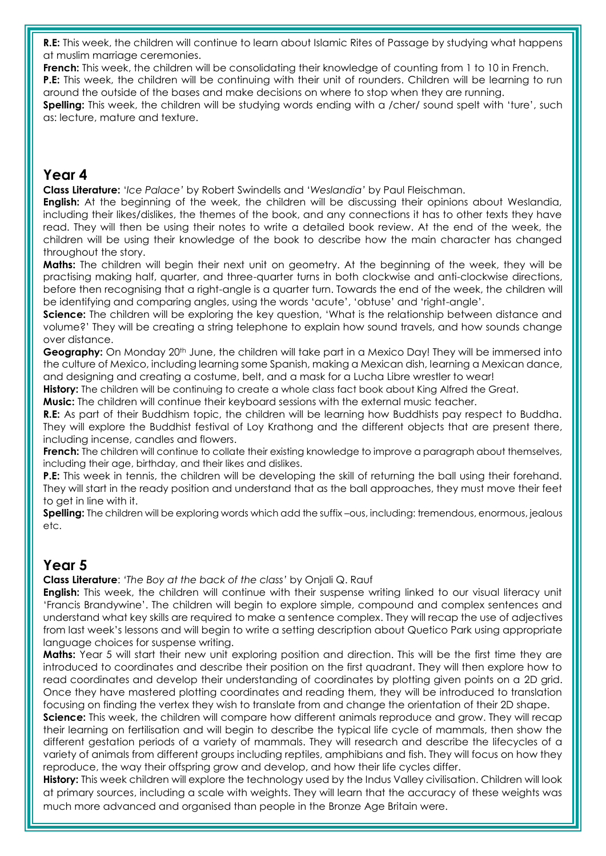**R.E:** This week, the children will continue to learn about Islamic Rites of Passage by studying what happens at muslim marriage ceremonies.

**French:** This week, the children will be consolidating their knowledge of counting from 1 to 10 in French. **P.E:** This week, the children will be continuing with their unit of rounders. Children will be learning to run around the outside of the bases and make decisions on where to stop when they are running.

**Spelling:** This week, the children will be studying words ending with a /cher/ sound spelt with 'ture', such as: lecture, mature and texture.

#### **Year 4**

**Class Literature:** '*Ice Palace'* by Robert Swindells and '*Weslandia'* by Paul Fleischman.

**English:** At the beginning of the week, the children will be discussing their opinions about Weslandia, including their likes/dislikes, the themes of the book, and any connections it has to other texts they have read. They will then be using their notes to write a detailed book review. At the end of the week, the children will be using their knowledge of the book to describe how the main character has changed throughout the story.

**Maths:** The children will begin their next unit on geometry. At the beginning of the week, they will be practising making half, quarter, and three-quarter turns in both clockwise and anti-clockwise directions, before then recognising that a right-angle is a quarter turn. Towards the end of the week, the children will be identifying and comparing angles, using the words 'acute', 'obtuse' and 'right-angle'.

**Science:** The children will be exploring the key question, 'What is the relationship between distance and volume?' They will be creating a string telephone to explain how sound travels, and how sounds change over distance.

Geoaraphy: On Monday 20<sup>th</sup> June, the children will take part in a Mexico Day! They will be immersed into the culture of Mexico, including learning some Spanish, making a Mexican dish, learning a Mexican dance, and designing and creating a costume, belt, and a mask for a Lucha Libre wrestler to wear!

**History:** The children will be continuing to create a whole class fact book about King Alfred the Great.

**Music:** The children will continue their keyboard sessions with the external music teacher.

**R.E:** As part of their Buddhism topic, the children will be learning how Buddhists pay respect to Buddha. They will explore the Buddhist festival of Loy Krathong and the different objects that are present there, including incense, candles and flowers.

**French:** The children will continue to collate their existing knowledge to improve a paragraph about themselves, including their age, birthday, and their likes and dislikes.

**P.E:** This week in tennis, the children will be developing the skill of returning the ball using their forehand. They will start in the ready position and understand that as the ball approaches, they must move their feet to get in line with it.

**Spelling:** The children will be exploring words which add the suffix –ous, including: tremendous, enormous, jealous etc.

## **Year 5**

**Class Literature**: *'The Boy at the back of the class'* by Onjali Q. Rauf

**English:** This week, the children will continue with their suspense writing linked to our visual literacy unit 'Francis Brandywine'. The children will begin to explore simple, compound and complex sentences and understand what key skills are required to make a sentence complex. They will recap the use of adjectives from last week's lessons and will begin to write a setting description about Quetico Park using appropriate language choices for suspense writing.

**Maths:** Year 5 will start their new unit exploring position and direction. This will be the first time they are introduced to coordinates and describe their position on the first quadrant. They will then explore how to read coordinates and develop their understanding of coordinates by plotting given points on a 2D grid. Once they have mastered plotting coordinates and reading them, they will be introduced to translation focusing on finding the vertex they wish to translate from and change the orientation of their 2D shape.

**Science:** This week, the children will compare how different animals reproduce and grow. They will recap their learning on fertilisation and will begin to describe the typical life cycle of mammals, then show the different gestation periods of a variety of mammals. They will research and describe the lifecycles of a variety of animals from different groups including reptiles, amphibians and fish. They will focus on how they reproduce, the way their offspring grow and develop, and how their life cycles differ.

**History:** This week children will explore the technology used by the Indus Valley civilisation. Children will look at primary sources, including a scale with weights. They will learn that the accuracy of these weights was much more advanced and organised than people in the Bronze Age Britain were.